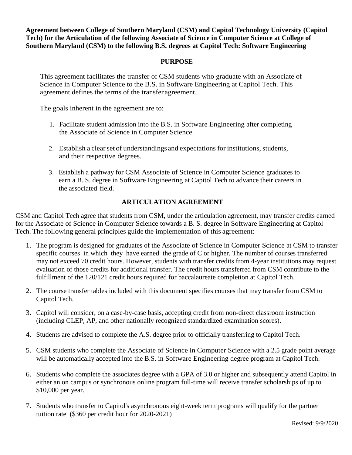**Agreement between College of Southern Maryland (CSM) and Capitol Technology University (Capitol Tech) for the Articulation of the following Associate of Science in Computer Science at College of Southern Maryland (CSM) to the following B.S. degrees at Capitol Tech: Software Engineering**

#### **PURPOSE**

This agreement facilitates the transfer of CSM students who graduate with an Associate of Science in Computer Science to the B.S. in Software Engineering at Capitol Tech. This agreement defines the terms of the transfer agreement.

The goals inherent in the agreement are to:

- 1. Facilitate student admission into the B.S. in Software Engineering after completing the Associate of Science in Computer Science.
- 2. Establish a clear set of understandings and expectations for institutions, students, and their respective degrees.
- 3. Establish a pathway for CSM Associate of Science in Computer Science graduates to earn a B. S. degree in Software Engineering at Capitol Tech to advance their careers in the associated field.

### **ARTICULATION AGREEMENT**

CSM and Capitol Tech agree that students from CSM, under the articulation agreement, may transfer credits earned for the Associate of Science in Computer Science towards a B. S. degree in Software Engineering at Capitol Tech. The following general principles guide the implementation of this agreement:

- 1. The program is designed for graduates of the Associate of Science in Computer Science at CSM to transfer specific courses in which they have earned the grade of C or higher. The number of courses transferred may not exceed 70 credit hours. However, students with transfer credits from 4-year institutions may request evaluation of those credits for additional transfer. The credit hours transferred from CSM contribute to the fulfillment of the 120/121 credit hours required for baccalaureate completion at Capitol Tech.
- 2. The course transfer tables included with this document specifies courses that may transfer from CSM to Capitol Tech.
- 3. Capitol will consider, on a case-by-case basis, accepting credit from non-direct classroom instruction (including CLEP, AP, and other nationally recognized standardized examination scores).
- 4. Students are advised to complete the A.S. degree prior to officially transferring to Capitol Tech.
- 5. CSM students who complete the Associate of Science in Computer Science with a 2.5 grade point average will be automatically accepted into the B.S. in Software Engineering degree program at Capitol Tech.
- 6. Students who complete the associates degree with a GPA of 3.0 or higher and subsequently attend Capitol in either an on campus or synchronous online program full-time will receive transfer scholarships of up to \$10,000 per year.
- 7. Students who transfer to Capitol's asynchronous eight-week term programs will qualify for the partner tuition rate (\$360 per credit hour for 2020-2021)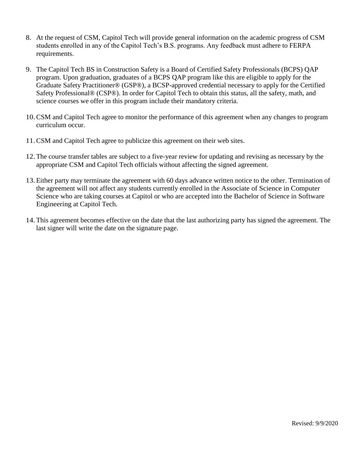- 8. At the request of CSM, Capitol Tech will provide general information on the academic progress of CSM students enrolled in any of the Capitol Tech's B.S. programs. Any feedback must adhere to FERPA requirements.
- 9. The Capitol Tech BS in Construction Safety is a Board of Certified Safety Professionals (BCPS) QAP program. Upon graduation, graduates of a BCPS QAP program like this are eligible to apply for the Graduate Safety Practitioner® (GSP®), a BCSP-approved credential necessary to apply for the Certified Safety Professional® (CSP®). In order for Capitol Tech to obtain this status, all the safety, math, and science courses we offer in this program include their mandatory criteria.
- 10.CSM and Capitol Tech agree to monitor the performance of this agreement when any changes to program curriculum occur.
- 11.CSM and Capitol Tech agree to publicize this agreement on their web sites.
- 12.The course transfer tables are subject to a five-year review for updating and revising as necessary by the appropriate CSM and Capitol Tech officials without affecting the signed agreement.
- 13.Either party may terminate the agreement with 60 days advance written notice to the other. Termination of the agreement will not affect any students currently enrolled in the Associate of Science in Computer Science who are taking courses at Capitol or who are accepted into the Bachelor of Science in Software Engineering at Capitol Tech.
- 14.This agreement becomes effective on the date that the last authorizing party has signed the agreement. The last signer will write the date on the signature page.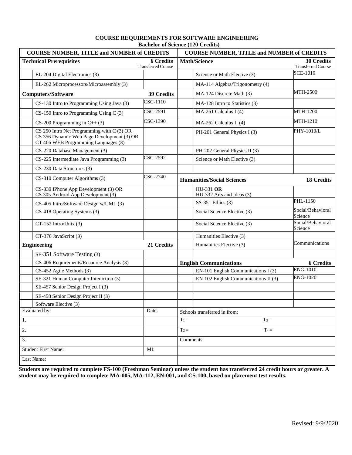| <b>COURSE NUMBER, TITLE and NUMBER of CREDITS</b>                                                                                  |                                               | <b>COURSE NUMBER, TITLE and NUMBER of CREDITS</b> |                                                |
|------------------------------------------------------------------------------------------------------------------------------------|-----------------------------------------------|---------------------------------------------------|------------------------------------------------|
| <b>Technical Prerequisites</b>                                                                                                     | <b>6 Credits</b><br><b>Transferred Course</b> | <b>Math/Science</b>                               | <b>30 Credits</b><br><b>Transferred Course</b> |
| EL-204 Digital Electronics (3)                                                                                                     |                                               | Science or Math Elective (3)                      | <b>SCE-1010</b>                                |
| EL-262 Microprocessors/Microassembly (3)                                                                                           |                                               | MA-114 Algebra/Trigonometry (4)                   |                                                |
| <b>Computers/Software</b>                                                                                                          | 39 Credits                                    | MA-124 Discrete Math (3)                          | <b>MTH-2500</b>                                |
| CS-130 Intro to Programming Using Java (3)                                                                                         | CSC-1110                                      | MA-128 Intro to Statistics (3)                    |                                                |
| $CS-150$ Intro to Programming Using C (3)                                                                                          | CSC-2591                                      | MA-261 Calculus I (4)                             | MTH-1200                                       |
| $CS-200$ Programming in $C++(3)$                                                                                                   | CSC-1390                                      | $MA-262$ Calculus II (4)                          | MTH-1210                                       |
| $CS$ 250 Intro Net Programming with C (3) OR<br>CS 356 Dynamic Web Page Development (3) OR<br>CT 406 WEB Programming Languages (3) |                                               | PH-201 General Physics I (3)                      | PHY-1010/L                                     |
| CS-220 Database Management (3)                                                                                                     |                                               | PH-202 General Physics II (3)                     |                                                |
| CS-225 Intermediate Java Programming (3)                                                                                           | CSC-2592                                      | Science or Math Elective (3)                      |                                                |
| CS-230 Data Structures (3)                                                                                                         |                                               |                                                   |                                                |
| CS-310 Computer Algorithms (3)                                                                                                     | CSC-2740                                      | <b>Humanities/Social Sciences</b>                 | <b>18 Credits</b>                              |
| CS-330 IPhone App Development (3) OR<br>CS 305 Android App Development (3)                                                         |                                               | <b>HU-331 OR</b><br>HU-332 Arts and Ideas (3)     |                                                |
| CS-405 Intro/Software Design w/UML (3)                                                                                             |                                               | SS-351 Ethics (3)                                 | PHL-1150                                       |
| CS-418 Operating Systems (3)                                                                                                       |                                               | Social Science Elective (3)                       | Social/Behavioral<br>Science                   |
| $CT-152$ Intro/Unix (3)                                                                                                            |                                               | Social Science Elective (3)                       | Social/Behavioral<br>Science                   |
| CT-376 JavaScript (3)                                                                                                              |                                               | Humanities Elective (3)                           |                                                |
| <b>Engineering</b>                                                                                                                 | 21 Credits                                    | Humanities Elective (3)                           | Communications                                 |
| SE-351 Software Testing (3)                                                                                                        |                                               |                                                   |                                                |
| CS-406 Requirements/Resource Analysis (3)                                                                                          |                                               | <b>English Communications</b>                     | <b>6 Credits</b>                               |
| CS-452 Agile Methods (3)                                                                                                           |                                               | EN-101 English Communications I (3)               | <b>ENG-1010</b>                                |
| SE-321 Human Computer Interaction (3)                                                                                              |                                               | EN-102 English Communications II (3)              | <b>ENG-1020</b>                                |
| SE-457 Senior Design Project I (3)                                                                                                 |                                               |                                                   |                                                |
| SE-458 Senior Design Project II (3)                                                                                                |                                               |                                                   |                                                |
| Software Elective (3)                                                                                                              |                                               |                                                   |                                                |
| Evaluated by:                                                                                                                      | Date:                                         | Schools transferred in from:                      |                                                |
| 1.                                                                                                                                 |                                               | $T_{3}$ =<br>$T_1 =$                              |                                                |
| 2.                                                                                                                                 |                                               | $T_4=$<br>$T_2 =$                                 |                                                |
| 3.                                                                                                                                 |                                               | Comments:                                         |                                                |
| <b>Student First Name:</b>                                                                                                         | MI:                                           |                                                   |                                                |
| Last Name:                                                                                                                         |                                               |                                                   |                                                |

#### **COURSE REQUIREMENTS FOR SOFTWARE ENGINEERING Bachelor of Science (120 Credits)**

**Students are required to complete FS-100 (Freshman Seminar) unless the student has transferred 24 credit hours or greater. A student may be required to complete MA-005, MA-112, EN-001, and CS-100, based on placement test results.**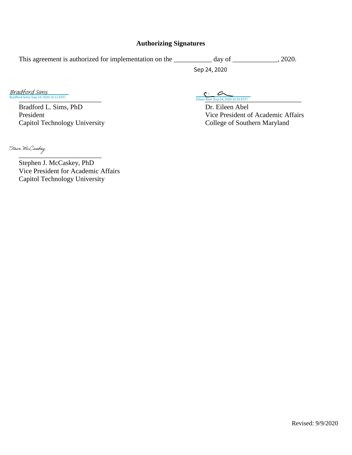#### **Authorizing Signatures**

This agreement is authorized for implementation on the \_\_\_\_\_\_\_\_\_\_ day of \_\_\_\_\_\_\_\_\_\_, 2020. Sep 24, 2020

Bradford Sims (Sep 24, 2020 16:11 EDT) Bradford Sims

> Bradford L. Sims, PhD Dr. Eileen Abel Capitol Technology University College of Southern Maryland

[\\_\\_\\_\\_\\_\\_\\_\\_\\_\\_\\_\\_\\_\\_\\_\\_\\_\\_\\_\\_\\_\\_\\_\\_ \\_\\_\\_\\_\\_\\_\\_\\_\\_\\_\\_\\_\\_\\_\\_\\_\\_\\_\\_\\_\\_\\_\\_\\_\\_\\_\\_\\_](https://na2.documents.adobe.com/verifier?tx=CBJCHBCAABAA5rQANolxTj397pOA0xO18boAmlqqClIC) Eileen Abel (Sep 24, 2020 16:50 EDT)

President Vice President of Academic Affairs

 $\overline{\phantom{a}}$  , where  $\overline{\phantom{a}}$ Stephen J. McCaskey, PhD Vice President for Academic Affairs Capitol Technology University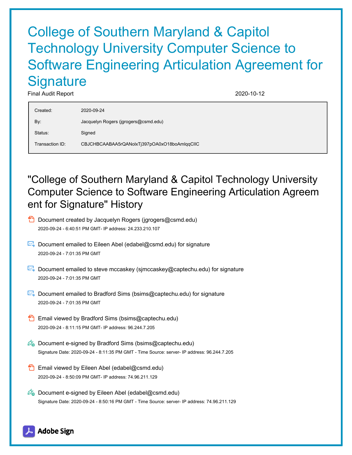# College of Southern Maryland & Capitol Technology University Computer Science to Software Engineering Articulation Agreement for **Signature**

Final Audit Report 2020-10-12

| Created:        | 2020-09-24                                   |
|-----------------|----------------------------------------------|
| By:             | Jacquelyn Rogers (jgrogers@csmd.edu)         |
| Status:         | Signed                                       |
| Transaction ID: | CBJCHBCAABAA5rQANolxTj397pOA0xO18boAmlqqClIC |

## "College of Southern Maryland & Capitol Technology University Computer Science to Software Engineering Articulation Agreem ent for Signature" History

- **D** Document created by Jacquelyn Rogers (jgrogers@csmd.edu) 2020-09-24 - 6:40:51 PM GMT- IP address: 24.233.210.107
- $\mathbb{E}$  Document emailed to Eileen Abel (edabel@csmd.edu) for signature 2020-09-24 - 7:01:35 PM GMT
- Document emailed to steve mccaskey (simccaskey@captechu.edu) for signature 2020-09-24 - 7:01:35 PM GMT
- Document emailed to Bradford Sims (bsims@captechu.edu) for signature 2020-09-24 - 7:01:35 PM GMT
- **Email viewed by Bradford Sims (bsims@captechu.edu)** 2020-09-24 - 8:11:15 PM GMT- IP address: 96.244.7.205
- $\mathscr{O}_\bullet$  Document e-signed by Bradford Sims (bsims@captechu.edu) Signature Date: 2020-09-24 - 8:11:35 PM GMT - Time Source: server- IP address: 96.244.7.205
- **Email viewed by Eileen Abel (edabel@csmd.edu)** 2020-09-24 - 8:50:09 PM GMT- IP address: 74.96.211.129
- $\mathbb{Z}_{\bullet}$  Document e-signed by Eileen Abel (edabel@csmd.edu) Signature Date: 2020-09-24 - 8:50:16 PM GMT - Time Source: server- IP address: 74.96.211.129